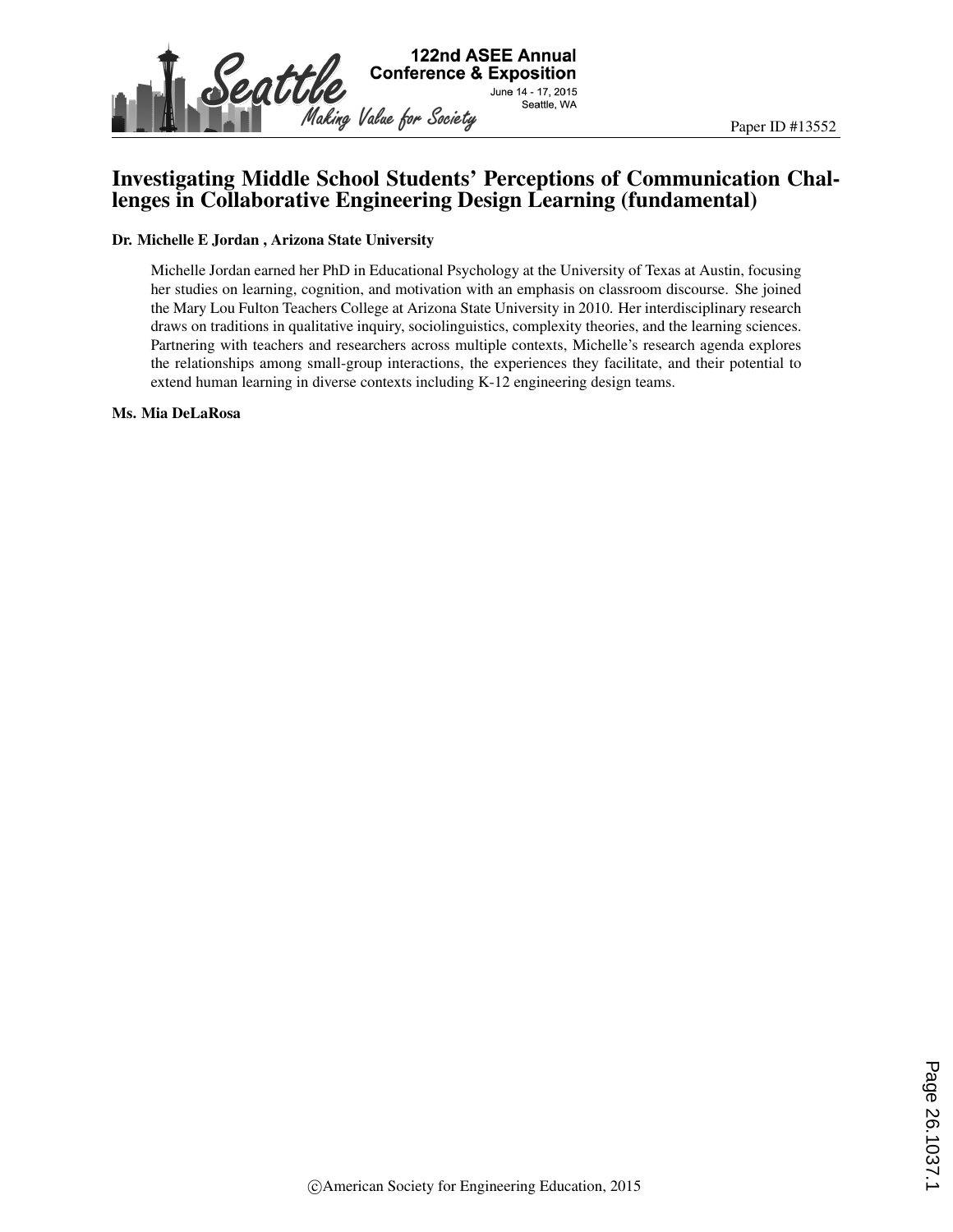

# Investigating Middle School Students' Perceptions of Communication Challenges in Collaborative Engineering Design Learning (fundamental)

#### Dr. Michelle E Jordan , Arizona State University

Michelle Jordan earned her PhD in Educational Psychology at the University of Texas at Austin, focusing her studies on learning, cognition, and motivation with an emphasis on classroom discourse. She joined the Mary Lou Fulton Teachers College at Arizona State University in 2010. Her interdisciplinary research draws on traditions in qualitative inquiry, sociolinguistics, complexity theories, and the learning sciences. Partnering with teachers and researchers across multiple contexts, Michelle's research agenda explores the relationships among small-group interactions, the experiences they facilitate, and their potential to extend human learning in diverse contexts including K-12 engineering design teams.

Ms. Mia DeLaRosa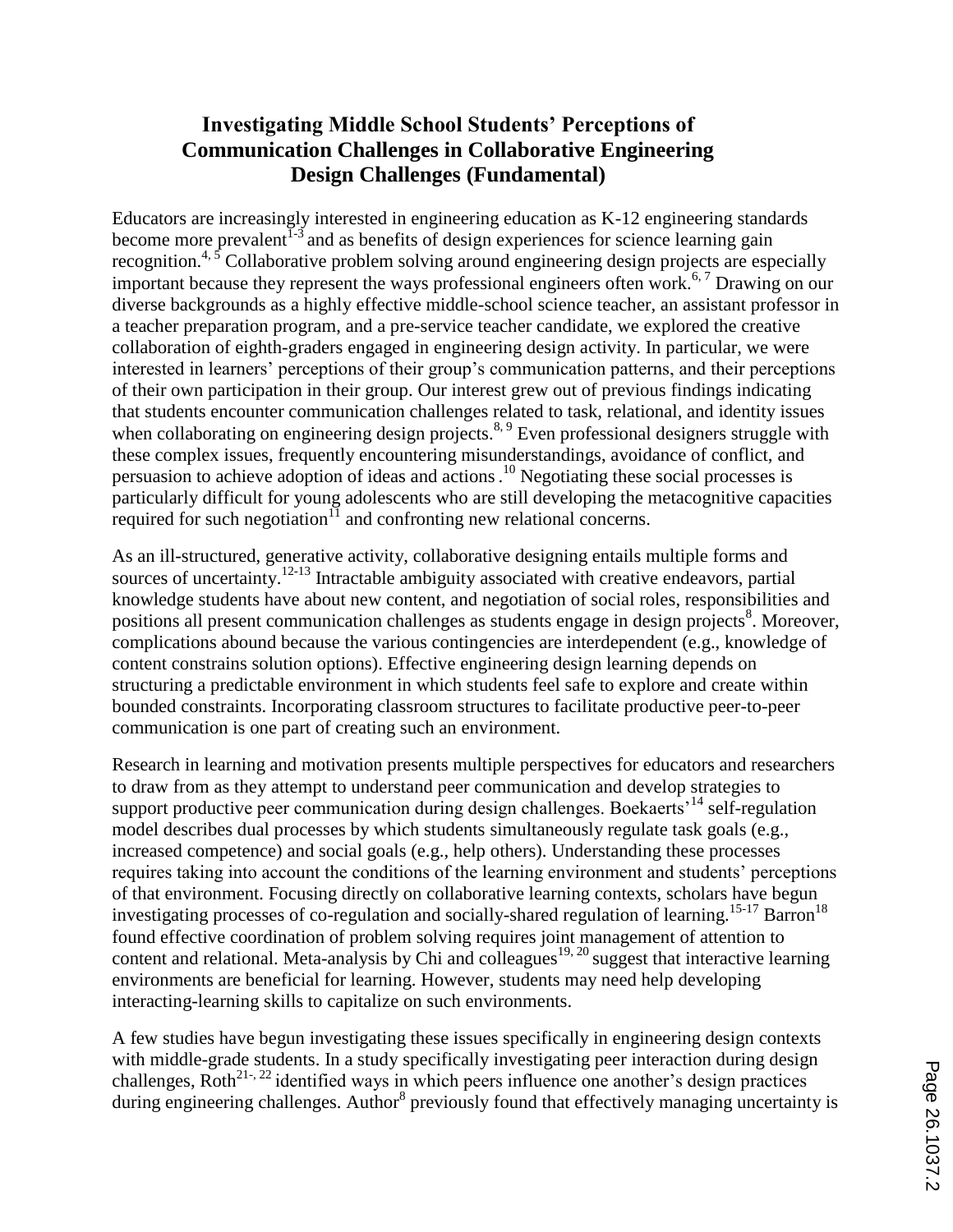# **Investigating Middle School Students' Perceptions of Communication Challenges in Collaborative Engineering Design Challenges (Fundamental)**

Educators are increasingly interested in engineering education as K-12 engineering standards become more prevalent  $I^{-3}$  and as benefits of design experiences for science learning gain recognition.<sup>4, 5</sup> Collaborative problem solving around engineering design projects are especially important because they represent the ways professional engineers often work.<sup>6,7</sup> Drawing on our diverse backgrounds as a highly effective middle-school science teacher, an assistant professor in a teacher preparation program, and a pre-service teacher candidate, we explored the creative collaboration of eighth-graders engaged in engineering design activity. In particular, we were interested in learners' perceptions of their group's communication patterns, and their perceptions of their own participation in their group. Our interest grew out of previous findings indicating that students encounter communication challenges related to task, relational, and identity issues when collaborating on engineering design projects.<sup>8, 9</sup> Even professional designers struggle with these complex issues, frequently encountering misunderstandings, avoidance of conflict, and persuasion to achieve adoption of ideas and actions. <sup>10</sup> Negotiating these social processes is particularly difficult for young adolescents who are still developing the metacognitive capacities required for such negotiation $\overline{11}$  and confronting new relational concerns.

As an ill-structured, generative activity, collaborative designing entails multiple forms and sources of uncertainty.<sup>12-13</sup> Intractable ambiguity associated with creative endeavors, partial knowledge students have about new content, and negotiation of social roles, responsibilities and positions all present communication challenges as students engage in design projects<sup>8</sup>. Moreover, complications abound because the various contingencies are interdependent (e.g., knowledge of content constrains solution options). Effective engineering design learning depends on structuring a predictable environment in which students feel safe to explore and create within bounded constraints. Incorporating classroom structures to facilitate productive peer-to-peer communication is one part of creating such an environment.

Research in learning and motivation presents multiple perspectives for educators and researchers to draw from as they attempt to understand peer communication and develop strategies to support productive peer communication during design challenges. Boekaerts<sup>'14</sup> self-regulation model describes dual processes by which students simultaneously regulate task goals (e.g., increased competence) and social goals (e.g., help others). Understanding these processes requires taking into account the conditions of the learning environment and students' perceptions of that environment. Focusing directly on collaborative learning contexts, scholars have begun investigating processes of co-regulation and socially-shared regulation of learning.<sup>15-17</sup> Barron<sup>18</sup> found effective coordination of problem solving requires joint management of attention to content and relational. Meta-analysis by Chi and colleagues<sup>19, 20</sup> suggest that interactive learning environments are beneficial for learning. However, students may need help developing interacting-learning skills to capitalize on such environments.

A few studies have begun investigating these issues specifically in engineering design contexts with middle-grade students. In a study specifically investigating peer interaction during design challenges,  $\text{Roth}^{21}$ <sup>22</sup> identified ways in which peers influence one another's design practices during engineering challenges. Author<sup>8</sup> previously found that effectively managing uncertainty is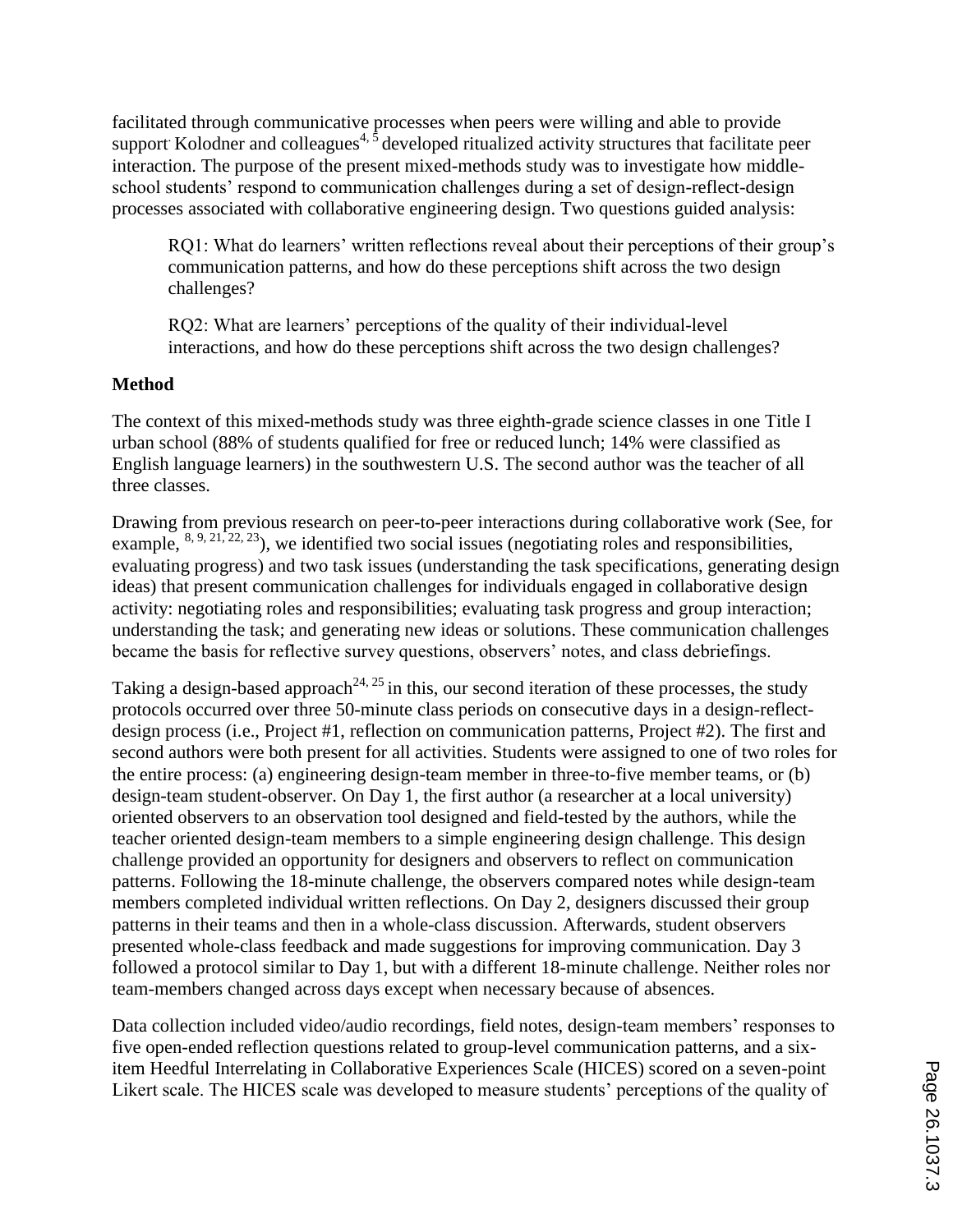facilitated through communicative processes when peers were willing and able to provide support. Kolodner and colleagues<sup>4,  $\overline{5}$ </sup> developed ritualized activity structures that facilitate peer interaction. The purpose of the present mixed-methods study was to investigate how middleschool students' respond to communication challenges during a set of design-reflect-design processes associated with collaborative engineering design. Two questions guided analysis:

RQ1: What do learners' written reflections reveal about their perceptions of their group's communication patterns, and how do these perceptions shift across the two design challenges?

RQ2: What are learners' perceptions of the quality of their individual-level interactions, and how do these perceptions shift across the two design challenges?

## **Method**

The context of this mixed-methods study was three eighth-grade science classes in one Title I urban school (88% of students qualified for free or reduced lunch; 14% were classified as English language learners) in the southwestern U.S. The second author was the teacher of all three classes.

Drawing from previous research on peer-to-peer interactions during collaborative work (See, for example,  $8, 9, 21, 22, 23$ ), we identified two social issues (negotiating roles and responsibilities, evaluating progress) and two task issues (understanding the task specifications, generating design ideas) that present communication challenges for individuals engaged in collaborative design activity: negotiating roles and responsibilities; evaluating task progress and group interaction; understanding the task; and generating new ideas or solutions. These communication challenges became the basis for reflective survey questions, observers' notes, and class debriefings.

Taking a design-based approach<sup>24, 25</sup> in this, our second iteration of these processes, the study protocols occurred over three 50-minute class periods on consecutive days in a design-reflectdesign process (i.e., Project #1, reflection on communication patterns, Project #2). The first and second authors were both present for all activities. Students were assigned to one of two roles for the entire process: (a) engineering design-team member in three-to-five member teams, or (b) design-team student-observer. On Day 1, the first author (a researcher at a local university) oriented observers to an observation tool designed and field-tested by the authors, while the teacher oriented design-team members to a simple engineering design challenge. This design challenge provided an opportunity for designers and observers to reflect on communication patterns. Following the 18-minute challenge, the observers compared notes while design-team members completed individual written reflections. On Day 2, designers discussed their group patterns in their teams and then in a whole-class discussion. Afterwards, student observers presented whole-class feedback and made suggestions for improving communication. Day 3 followed a protocol similar to Day 1, but with a different 18-minute challenge. Neither roles nor team-members changed across days except when necessary because of absences.

Data collection included video/audio recordings, field notes, design-team members' responses to five open-ended reflection questions related to group-level communication patterns, and a sixitem Heedful Interrelating in Collaborative Experiences Scale (HICES) scored on a seven-point Likert scale. The HICES scale was developed to measure students' perceptions of the quality of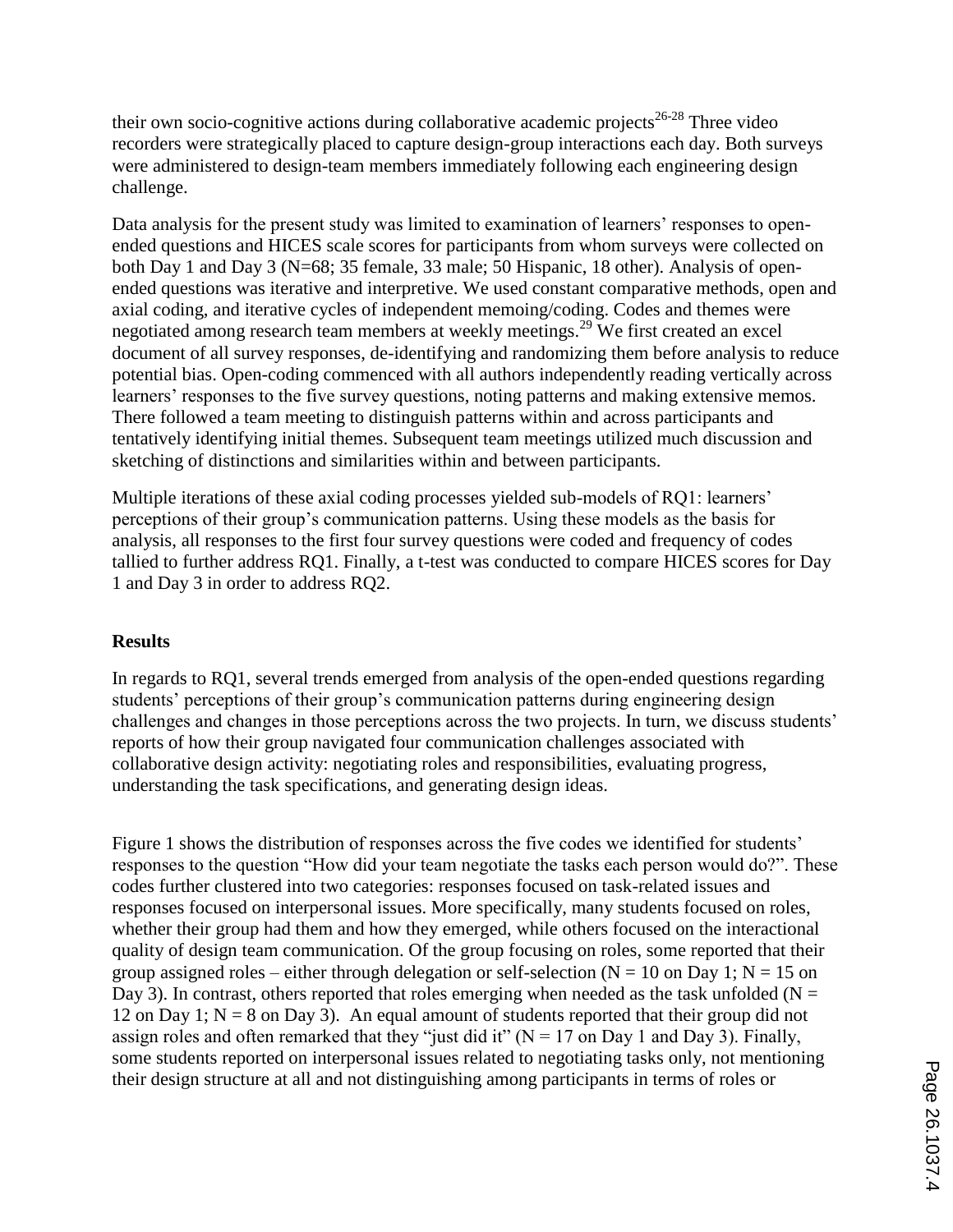their own socio-cognitive actions during collaborative academic projects<sup>26-28</sup> Three video recorders were strategically placed to capture design-group interactions each day. Both surveys were administered to design-team members immediately following each engineering design challenge.

Data analysis for the present study was limited to examination of learners' responses to openended questions and HICES scale scores for participants from whom surveys were collected on both Day 1 and Day 3 (N=68; 35 female, 33 male; 50 Hispanic, 18 other). Analysis of openended questions was iterative and interpretive. We used constant comparative methods, open and axial coding, and iterative cycles of independent memoing/coding. Codes and themes were negotiated among research team members at weekly meetings.<sup>29</sup> We first created an excel document of all survey responses, de-identifying and randomizing them before analysis to reduce potential bias. Open-coding commenced with all authors independently reading vertically across learners' responses to the five survey questions, noting patterns and making extensive memos. There followed a team meeting to distinguish patterns within and across participants and tentatively identifying initial themes. Subsequent team meetings utilized much discussion and sketching of distinctions and similarities within and between participants.

Multiple iterations of these axial coding processes yielded sub-models of RQ1: learners' perceptions of their group's communication patterns. Using these models as the basis for analysis, all responses to the first four survey questions were coded and frequency of codes tallied to further address RQ1. Finally, a t-test was conducted to compare HICES scores for Day 1 and Day 3 in order to address RQ2.

### **Results**

In regards to RQ1, several trends emerged from analysis of the open-ended questions regarding students' perceptions of their group's communication patterns during engineering design challenges and changes in those perceptions across the two projects. In turn, we discuss students' reports of how their group navigated four communication challenges associated with collaborative design activity: negotiating roles and responsibilities, evaluating progress, understanding the task specifications, and generating design ideas.

Figure 1 shows the distribution of responses across the five codes we identified for students' responses to the question "How did your team negotiate the tasks each person would do?". These codes further clustered into two categories: responses focused on task-related issues and responses focused on interpersonal issues. More specifically, many students focused on roles, whether their group had them and how they emerged, while others focused on the interactional quality of design team communication. Of the group focusing on roles, some reported that their group assigned roles – either through delegation or self-selection ( $N = 10$  on Day 1;  $N = 15$  on Day 3). In contrast, others reported that roles emerging when needed as the task unfolded ( $N =$ 12 on Day 1;  $N = 8$  on Day 3). An equal amount of students reported that their group did not assign roles and often remarked that they "just did it" ( $N = 17$  on Day 1 and Day 3). Finally, some students reported on interpersonal issues related to negotiating tasks only, not mentioning their design structure at all and not distinguishing among participants in terms of roles or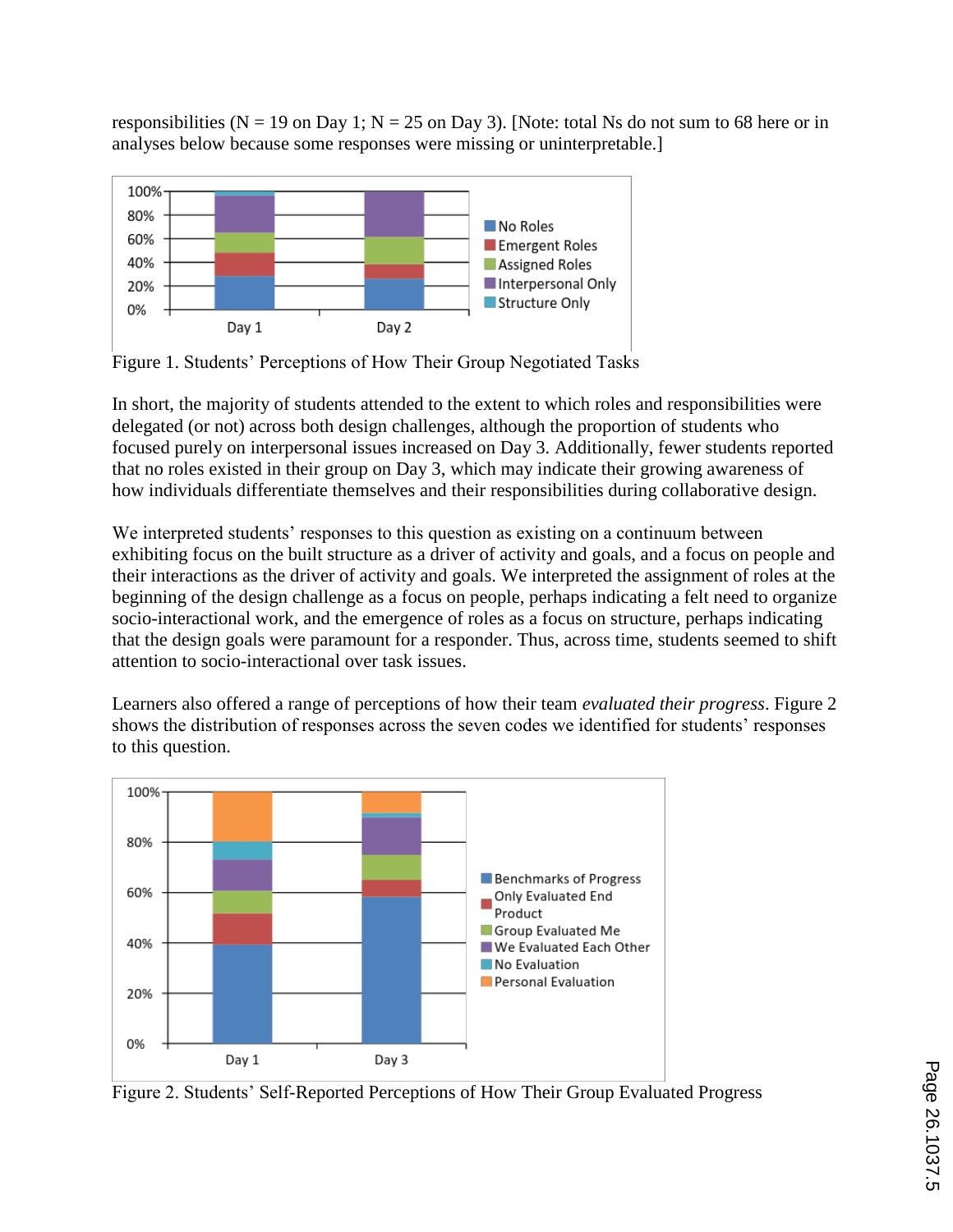responsibilities ( $N = 19$  on Day 1;  $N = 25$  on Day 3). [Note: total Ns do not sum to 68 here or in analyses below because some responses were missing or uninterpretable.]



Figure 1. Students' Perceptions of How Their Group Negotiated Tasks

In short, the majority of students attended to the extent to which roles and responsibilities were delegated (or not) across both design challenges, although the proportion of students who focused purely on interpersonal issues increased on Day 3. Additionally, fewer students reported that no roles existed in their group on Day 3, which may indicate their growing awareness of how individuals differentiate themselves and their responsibilities during collaborative design.

We interpreted students' responses to this question as existing on a continuum between exhibiting focus on the built structure as a driver of activity and goals, and a focus on people and their interactions as the driver of activity and goals. We interpreted the assignment of roles at the beginning of the design challenge as a focus on people, perhaps indicating a felt need to organize socio-interactional work, and the emergence of roles as a focus on structure, perhaps indicating that the design goals were paramount for a responder. Thus, across time, students seemed to shift attention to socio-interactional over task issues.

Learners also offered a range of perceptions of how their team *evaluated their progress*. Figure 2 shows the distribution of responses across the seven codes we identified for students' responses to this question.



Figure 2. Students' Self-Reported Perceptions of How Their Group Evaluated Progress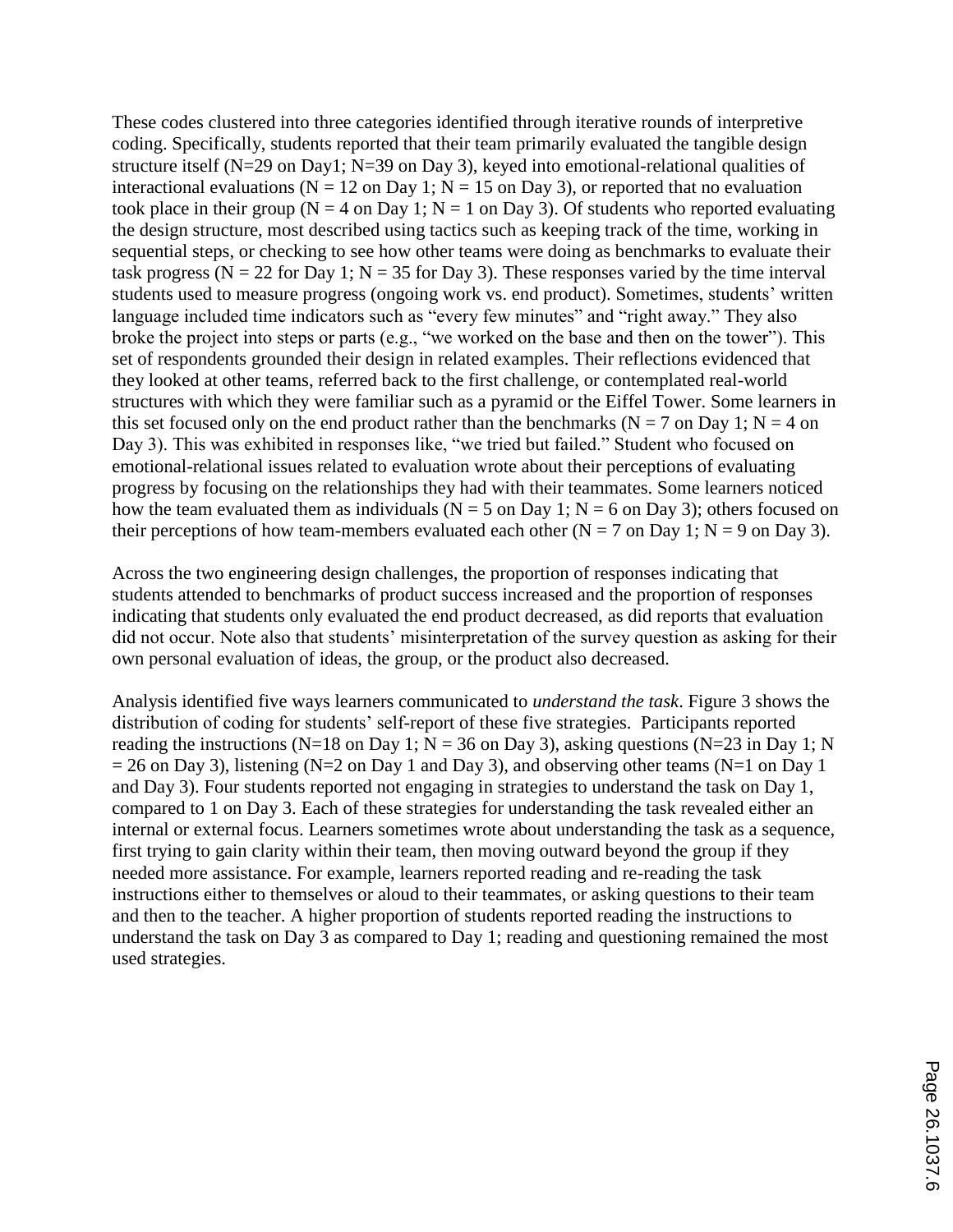These codes clustered into three categories identified through iterative rounds of interpretive coding. Specifically, students reported that their team primarily evaluated the tangible design structure itself (N=29 on Day1; N=39 on Day 3), keyed into emotional-relational qualities of interactional evaluations ( $N = 12$  on Day 1;  $N = 15$  on Day 3), or reported that no evaluation took place in their group ( $N = 4$  on Day 1;  $N = 1$  on Day 3). Of students who reported evaluating the design structure, most described using tactics such as keeping track of the time, working in sequential steps, or checking to see how other teams were doing as benchmarks to evaluate their task progress ( $N = 22$  for Day 1;  $N = 35$  for Day 3). These responses varied by the time interval students used to measure progress (ongoing work vs. end product). Sometimes, students' written language included time indicators such as "every few minutes" and "right away." They also broke the project into steps or parts (e.g., "we worked on the base and then on the tower"). This set of respondents grounded their design in related examples. Their reflections evidenced that they looked at other teams, referred back to the first challenge, or contemplated real-world structures with which they were familiar such as a pyramid or the Eiffel Tower. Some learners in this set focused only on the end product rather than the benchmarks ( $N = 7$  on Day 1;  $N = 4$  on Day 3). This was exhibited in responses like, "we tried but failed." Student who focused on emotional-relational issues related to evaluation wrote about their perceptions of evaluating progress by focusing on the relationships they had with their teammates. Some learners noticed how the team evaluated them as individuals ( $N = 5$  on Day 1;  $N = 6$  on Day 3); others focused on their perceptions of how team-members evaluated each other ( $N = 7$  on Day 1;  $N = 9$  on Day 3).

Across the two engineering design challenges, the proportion of responses indicating that students attended to benchmarks of product success increased and the proportion of responses indicating that students only evaluated the end product decreased, as did reports that evaluation did not occur. Note also that students' misinterpretation of the survey question as asking for their own personal evaluation of ideas, the group, or the product also decreased.

Analysis identified five ways learners communicated to *understand the task*. Figure 3 shows the distribution of coding for students' self-report of these five strategies. Participants reported reading the instructions (N=18 on Day 1; N = 36 on Day 3), asking questions (N=23 in Day 1; N  $= 26$  on Day 3), listening (N=2 on Day 1 and Day 3), and observing other teams (N=1 on Day 1 and Day 3). Four students reported not engaging in strategies to understand the task on Day 1, compared to 1 on Day 3. Each of these strategies for understanding the task revealed either an internal or external focus. Learners sometimes wrote about understanding the task as a sequence, first trying to gain clarity within their team, then moving outward beyond the group if they needed more assistance. For example, learners reported reading and re-reading the task instructions either to themselves or aloud to their teammates, or asking questions to their team and then to the teacher. A higher proportion of students reported reading the instructions to understand the task on Day 3 as compared to Day 1; reading and questioning remained the most used strategies.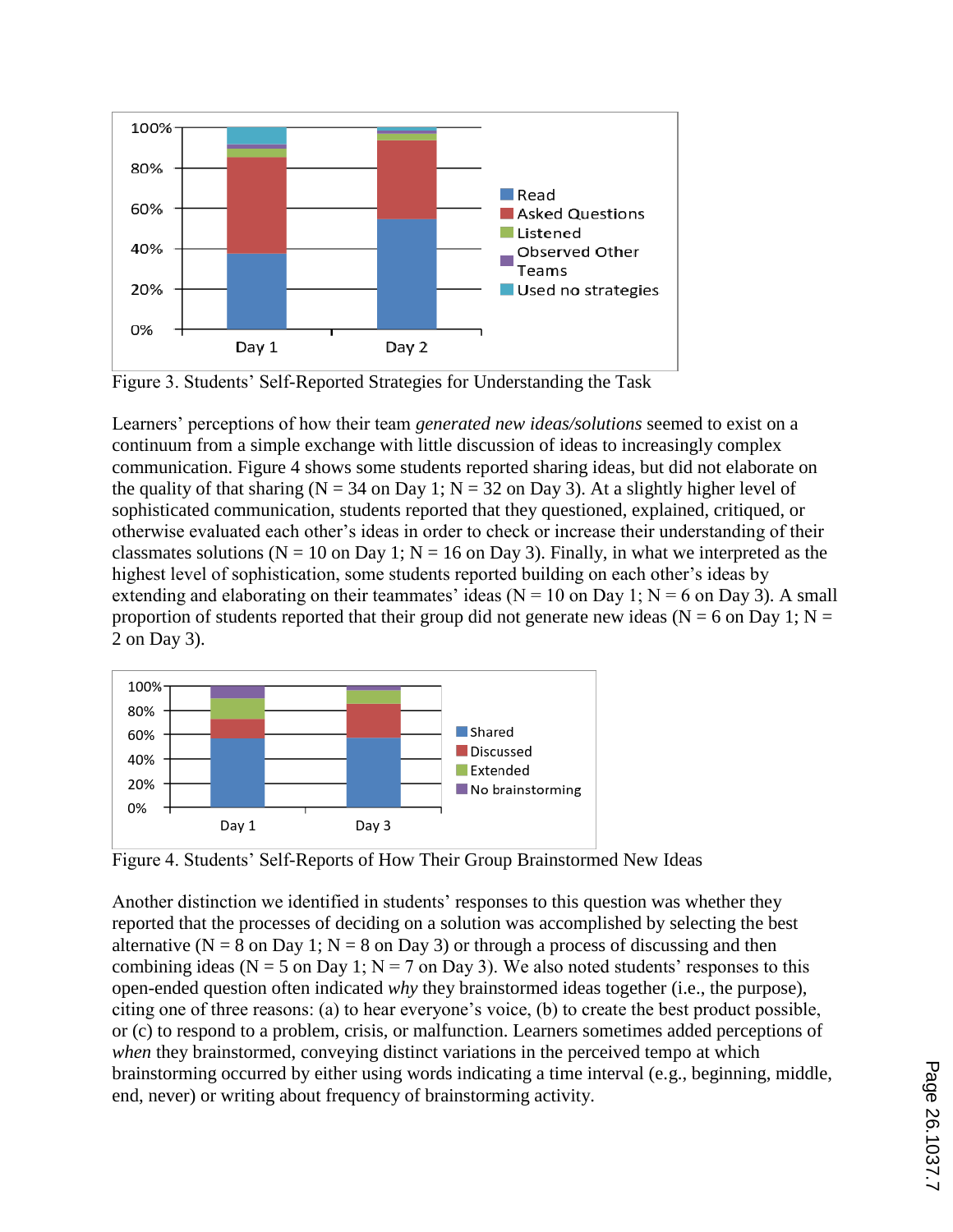

Figure 3. Students' Self-Reported Strategies for Understanding the Task

Learners' perceptions of how their team *generated new ideas/solutions* seemed to exist on a continuum from a simple exchange with little discussion of ideas to increasingly complex communication. Figure 4 shows some students reported sharing ideas, but did not elaborate on the quality of that sharing ( $N = 34$  on Day 1;  $N = 32$  on Day 3). At a slightly higher level of sophisticated communication, students reported that they questioned, explained, critiqued, or otherwise evaluated each other's ideas in order to check or increase their understanding of their classmates solutions ( $N = 10$  on Day 1;  $N = 16$  on Day 3). Finally, in what we interpreted as the highest level of sophistication, some students reported building on each other's ideas by extending and elaborating on their teammates' ideas ( $N = 10$  on Day 1;  $N = 6$  on Day 3). A small proportion of students reported that their group did not generate new ideas ( $N = 6$  on Day 1;  $N =$ 2 on Day 3).



Figure 4. Students' Self-Reports of How Their Group Brainstormed New Ideas

Another distinction we identified in students' responses to this question was whether they reported that the processes of deciding on a solution was accomplished by selecting the best alternative ( $N = 8$  on Day 1;  $N = 8$  on Day 3) or through a process of discussing and then combining ideas ( $N = 5$  on Day 1;  $N = 7$  on Day 3). We also noted students' responses to this open-ended question often indicated *why* they brainstormed ideas together (i.e., the purpose), citing one of three reasons: (a) to hear everyone's voice, (b) to create the best product possible, or (c) to respond to a problem, crisis, or malfunction. Learners sometimes added perceptions of *when* they brainstormed, conveying distinct variations in the perceived tempo at which brainstorming occurred by either using words indicating a time interval (e.g., beginning, middle, end, never) or writing about frequency of brainstorming activity.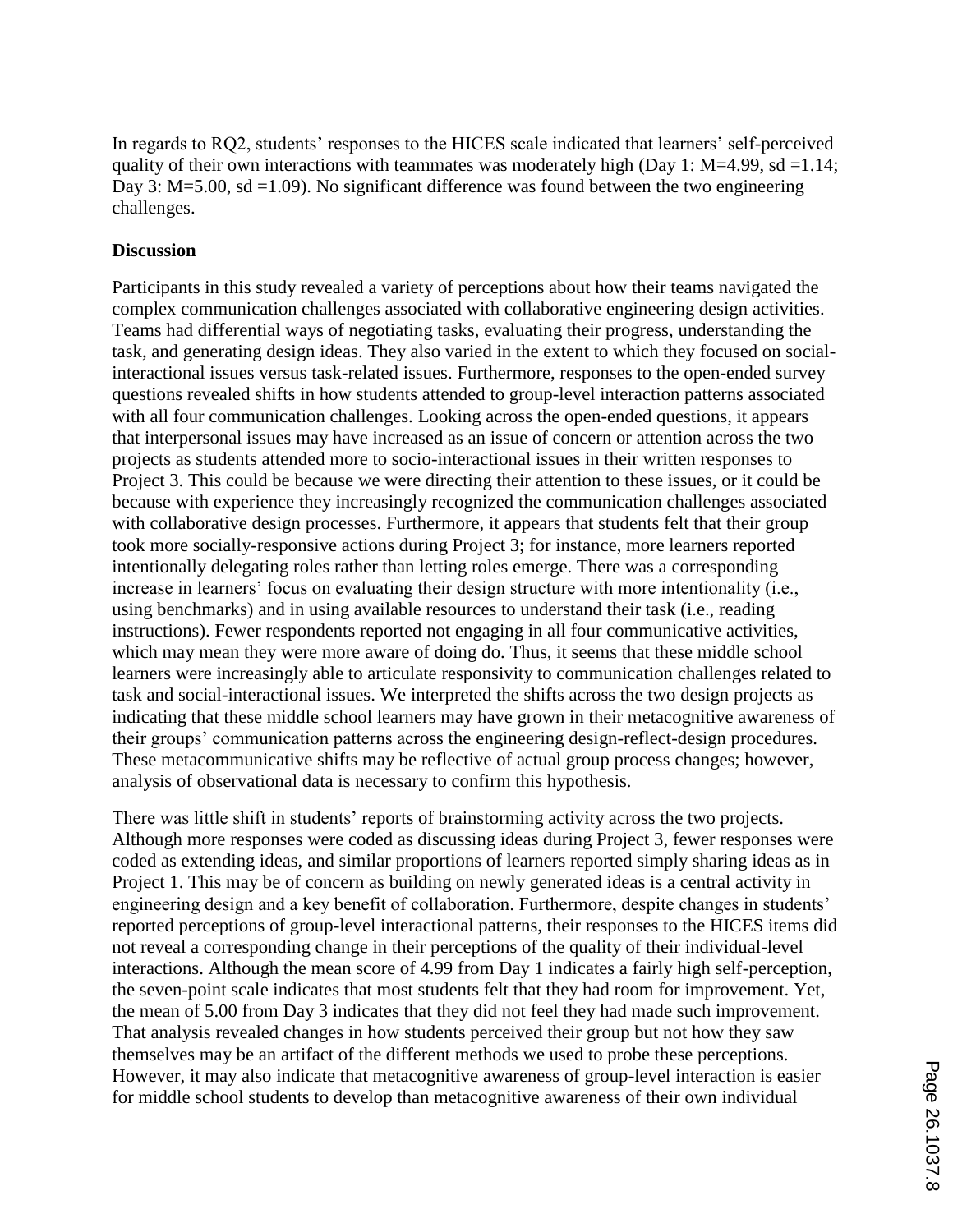In regards to RQ2, students' responses to the HICES scale indicated that learners' self-perceived quality of their own interactions with teammates was moderately high (Day 1: M=4.99, sd =1.14; Day 3: M=5.00, sd =1.09). No significant difference was found between the two engineering challenges.

## **Discussion**

Participants in this study revealed a variety of perceptions about how their teams navigated the complex communication challenges associated with collaborative engineering design activities. Teams had differential ways of negotiating tasks, evaluating their progress, understanding the task, and generating design ideas. They also varied in the extent to which they focused on socialinteractional issues versus task-related issues. Furthermore, responses to the open-ended survey questions revealed shifts in how students attended to group-level interaction patterns associated with all four communication challenges. Looking across the open-ended questions, it appears that interpersonal issues may have increased as an issue of concern or attention across the two projects as students attended more to socio-interactional issues in their written responses to Project 3. This could be because we were directing their attention to these issues, or it could be because with experience they increasingly recognized the communication challenges associated with collaborative design processes. Furthermore, it appears that students felt that their group took more socially-responsive actions during Project 3; for instance, more learners reported intentionally delegating roles rather than letting roles emerge. There was a corresponding increase in learners' focus on evaluating their design structure with more intentionality (i.e., using benchmarks) and in using available resources to understand their task (i.e., reading instructions). Fewer respondents reported not engaging in all four communicative activities, which may mean they were more aware of doing do. Thus, it seems that these middle school learners were increasingly able to articulate responsivity to communication challenges related to task and social-interactional issues. We interpreted the shifts across the two design projects as indicating that these middle school learners may have grown in their metacognitive awareness of their groups' communication patterns across the engineering design-reflect-design procedures. These metacommunicative shifts may be reflective of actual group process changes; however, analysis of observational data is necessary to confirm this hypothesis.

There was little shift in students' reports of brainstorming activity across the two projects. Although more responses were coded as discussing ideas during Project 3, fewer responses were coded as extending ideas, and similar proportions of learners reported simply sharing ideas as in Project 1. This may be of concern as building on newly generated ideas is a central activity in engineering design and a key benefit of collaboration. Furthermore, despite changes in students' reported perceptions of group-level interactional patterns, their responses to the HICES items did not reveal a corresponding change in their perceptions of the quality of their individual-level interactions. Although the mean score of 4.99 from Day 1 indicates a fairly high self-perception, the seven-point scale indicates that most students felt that they had room for improvement. Yet, the mean of 5.00 from Day 3 indicates that they did not feel they had made such improvement. That analysis revealed changes in how students perceived their group but not how they saw themselves may be an artifact of the different methods we used to probe these perceptions. However, it may also indicate that metacognitive awareness of group-level interaction is easier for middle school students to develop than metacognitive awareness of their own individual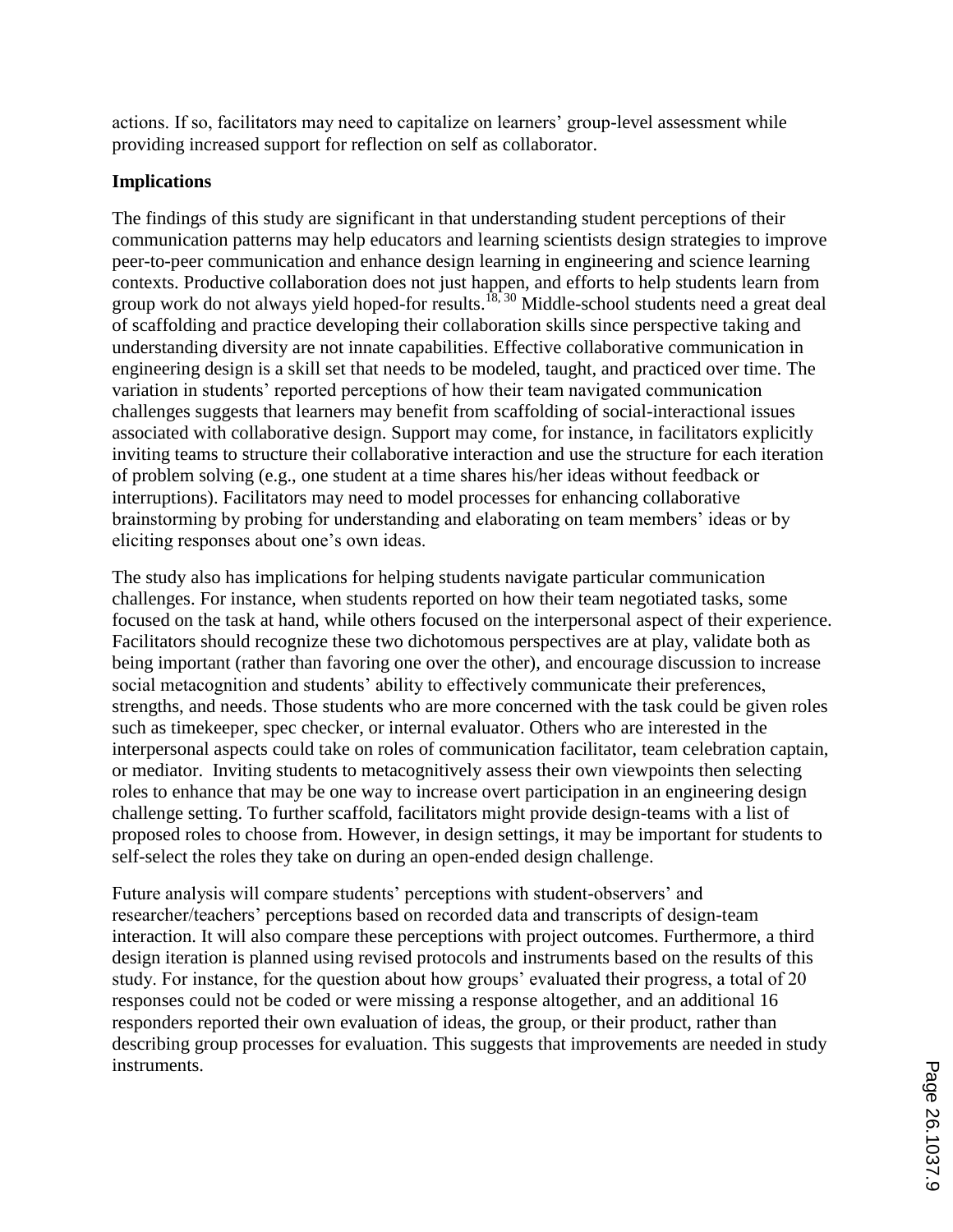actions. If so, facilitators may need to capitalize on learners' group-level assessment while providing increased support for reflection on self as collaborator.

# **Implications**

The findings of this study are significant in that understanding student perceptions of their communication patterns may help educators and learning scientists design strategies to improve peer-to-peer communication and enhance design learning in engineering and science learning contexts. Productive collaboration does not just happen, and efforts to help students learn from group work do not always yield hoped-for results.<sup>18, 30</sup> Middle-school students need a great deal of scaffolding and practice developing their collaboration skills since perspective taking and understanding diversity are not innate capabilities. Effective collaborative communication in engineering design is a skill set that needs to be modeled, taught, and practiced over time. The variation in students' reported perceptions of how their team navigated communication challenges suggests that learners may benefit from scaffolding of social-interactional issues associated with collaborative design. Support may come, for instance, in facilitators explicitly inviting teams to structure their collaborative interaction and use the structure for each iteration of problem solving (e.g., one student at a time shares his/her ideas without feedback or interruptions). Facilitators may need to model processes for enhancing collaborative brainstorming by probing for understanding and elaborating on team members' ideas or by eliciting responses about one's own ideas.

The study also has implications for helping students navigate particular communication challenges. For instance, when students reported on how their team negotiated tasks, some focused on the task at hand, while others focused on the interpersonal aspect of their experience. Facilitators should recognize these two dichotomous perspectives are at play, validate both as being important (rather than favoring one over the other), and encourage discussion to increase social metacognition and students' ability to effectively communicate their preferences, strengths, and needs. Those students who are more concerned with the task could be given roles such as timekeeper, spec checker, or internal evaluator. Others who are interested in the interpersonal aspects could take on roles of communication facilitator, team celebration captain, or mediator. Inviting students to metacognitively assess their own viewpoints then selecting roles to enhance that may be one way to increase overt participation in an engineering design challenge setting. To further scaffold, facilitators might provide design-teams with a list of proposed roles to choose from. However, in design settings, it may be important for students to self-select the roles they take on during an open-ended design challenge.

Future analysis will compare students' perceptions with student-observers' and researcher/teachers' perceptions based on recorded data and transcripts of design-team interaction. It will also compare these perceptions with project outcomes. Furthermore, a third design iteration is planned using revised protocols and instruments based on the results of this study. For instance, for the question about how groups' evaluated their progress, a total of 20 responses could not be coded or were missing a response altogether, and an additional 16 responders reported their own evaluation of ideas, the group, or their product, rather than describing group processes for evaluation. This suggests that improvements are needed in study instruments.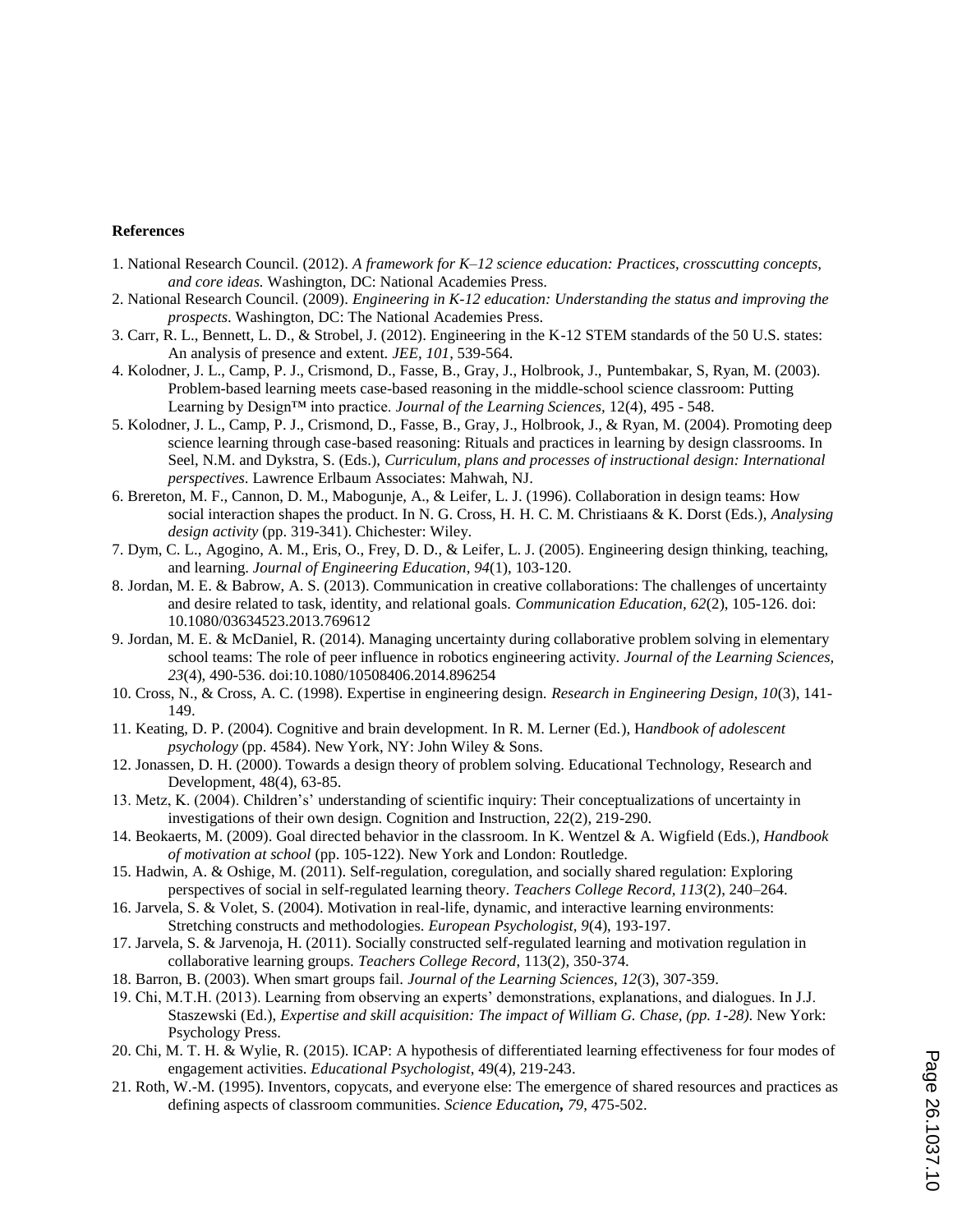#### **References**

- 1. National Research Council. (2012). *A framework for K–12 science education: Practices, crosscutting concepts, and core ideas.* Washington, DC: National Academies Press.
- 2. National Research Council. (2009). *Engineering in K-12 education: Understanding the status and improving the prospects*. Washington, DC: The National Academies Press.
- 3. Carr, R. L., Bennett, L. D., & Strobel, J. (2012). Engineering in the K-12 STEM standards of the 50 U.S. states: An analysis of presence and extent. *JEE, 101*, 539-564.
- 4. Kolodner, J. L., Camp, P. J., Crismond, D., Fasse, B., Gray, J., Holbrook, J., Puntembakar, S, Ryan, M. (2003). Problem-based learning meets case-based reasoning in the middle-school science classroom: Putting Learning by Design™ into practice. *Journal of the Learning Sciences,* 12(4), 495 - 548.
- 5. Kolodner, J. L., Camp, P. J., Crismond, D., Fasse, B., Gray, J., Holbrook, J., & Ryan, M. (2004). Promoting deep science learning through case-based reasoning: Rituals and practices in learning by design classrooms. In Seel, N.M. and Dykstra, S. (Eds.), *Curriculum, plans and processes of instructional design: International perspectives*. Lawrence Erlbaum Associates: Mahwah, NJ.
- 6. Brereton, M. F., Cannon, D. M., Mabogunje, A., & Leifer, L. J. (1996). Collaboration in design teams: How social interaction shapes the product. In N. G. Cross, H. H. C. M. Christiaans & K. Dorst (Eds.), *Analysing design activity* (pp. 319-341). Chichester: Wiley.
- 7. Dym, C. L., Agogino, A. M., Eris, O., Frey, D. D., & Leifer, L. J. (2005). Engineering design thinking, teaching, and learning. *Journal of Engineering Education, 94*(1), 103-120.
- 8. Jordan, M. E. & Babrow, A. S. (2013). Communication in creative collaborations: The challenges of uncertainty and desire related to task, identity, and relational goals. *Communication Education, 62*(2), 105-126. doi: 10.1080/03634523.2013.769612
- 9. Jordan, M. E. & McDaniel, R. (2014). Managing uncertainty during collaborative problem solving in elementary school teams: The role of peer influence in robotics engineering activity. *Journal of the Learning Sciences, 23*(4), 490-536. doi:10.1080/10508406.2014.896254
- 10. Cross, N., & Cross, A. C. (1998). Expertise in engineering design. *Research in Engineering Design, 10*(3), 141- 149.
- 11. Keating, D. P. (2004). Cognitive and brain development. In R. M. Lerner (Ed.), H*andbook of adolescent psychology* (pp. 4584). New York, NY: John Wiley & Sons.
- 12. Jonassen, D. H. (2000). Towards a design theory of problem solving. Educational Technology, Research and Development, 48(4), 63-85.
- 13. Metz, K. (2004). Children's' understanding of scientific inquiry: Their conceptualizations of uncertainty in investigations of their own design. Cognition and Instruction, 22(2), 219-290.
- 14. Beokaerts, M. (2009). Goal directed behavior in the classroom. In K. Wentzel & A. Wigfield (Eds.), *Handbook of motivation at school* (pp. 105-122). New York and London: Routledge.
- 15. Hadwin, A. & Oshige, M. (2011). Self-regulation, coregulation, and socially shared regulation: Exploring perspectives of social in self-regulated learning theory. *Teachers College Record, 113*(2), 240–264.
- 16. Jarvela, S. & Volet, S. (2004). Motivation in real-life, dynamic, and interactive learning environments: Stretching constructs and methodologies. *European Psychologist, 9*(4), 193-197.
- 17. Jarvela, S. & Jarvenoja, H. (2011). Socially constructed self-regulated learning and motivation regulation in collaborative learning groups. *Teachers College Record*, 113(2), 350-374.
- 18. Barron, B. (2003). When smart groups fail. *Journal of the Learning Sciences, 12*(3), 307-359.
- 19. Chi, M.T.H. (2013). Learning from observing an experts' demonstrations, explanations, and dialogues. In J.J. Staszewski (Ed.), *Expertise and skill acquisition: The impact of William G. Chase, (pp. 1-28)*. New York: Psychology Press.
- 20. Chi, M. T. H. & Wylie, R. (2015). ICAP: A hypothesis of differentiated learning effectiveness for four modes of engagement activities. *Educational Psychologist*, 49(4), 219-243.
- 21. Roth, W.-M. (1995). Inventors, copycats, and everyone else: The emergence of shared resources and practices as defining aspects of classroom communities. *Science Education, 79*, 475-502.